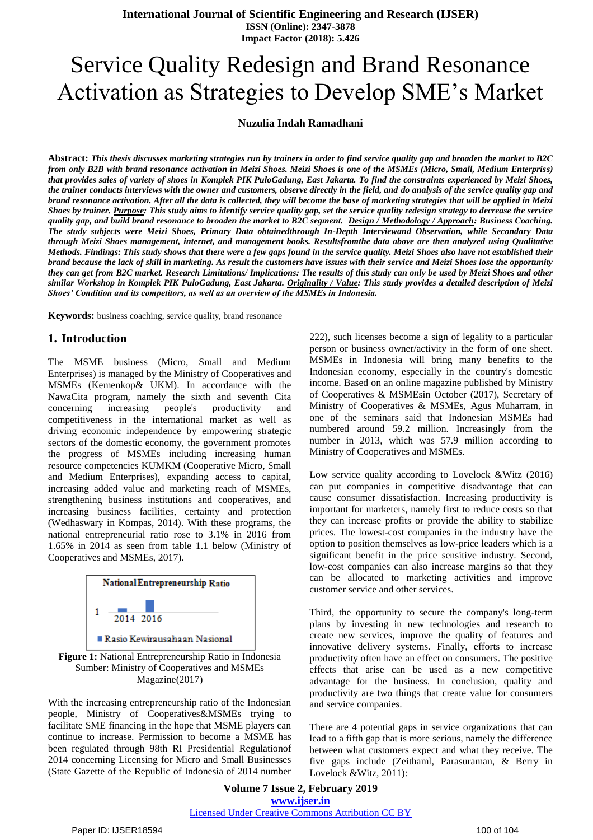# Service Quality Redesign and Brand Resonance Activation as Strategies to Develop SME's Market

#### **Nuzulia Indah Ramadhani**

**Abstract:** *This thesis discusses marketing strategies run by trainers in order to find service quality gap and broaden the market to B2C from only B2B with brand resonance activation in Meizi Shoes. Meizi Shoes is one of the MSMEs (Micro, Small, Medium Enterpriss) that provides sales of variety of shoes in Komplek PIK PuloGadung, East Jakarta. To find the constraints experienced by Meizi Shoes, the trainer conducts interviews with the owner and customers, observe directly in the field, and do analysis of the service quality gap and brand resonance activation. After all the data is collected, they will become the base of marketing strategies that will be applied in Meizi Shoes by trainer. Purpose: This study aims to identify service quality gap, set the service quality redesign strategy to decrease the service quality gap, and build brand resonance to broaden the market to B2C segment. Design / Methodology / Approach: Business Coaching. The study subjects were Meizi Shoes, Primary Data obtainedthrough In-Depth Interviewand Observation, while Secondary Data through Meizi Shoes management, internet, and management books. Resultsfromthe data above are then analyzed using Qualitative Methods. Findings: This study shows that there were a few gaps found in the service quality. Meizi Shoes also have not established their brand because the lack of skill in marketing. As result the customers have issues with their service and Meizi Shoes lose the opportunity they can get from B2C market. Research Limitations/ Implications: The results of this study can only be used by Meizi Shoes and other similar Workshop in Komplek PIK PuloGadung, East Jakarta. Originality / Value: This study provides a detailed description of Meizi Shoes' Condition and its competitors, as well as an overview of the MSMEs in Indonesia.* 

**Keywords:** business coaching, service quality, brand resonance

## **1. Introduction**

The MSME business (Micro, Small and Medium Enterprises) is managed by the Ministry of Cooperatives and MSMEs (Kemenkop& UKM). In accordance with the NawaCita program, namely the sixth and seventh Cita concerning increasing people's productivity and competitiveness in the international market as well as driving economic independence by empowering strategic sectors of the domestic economy, the government promotes the progress of MSMEs including increasing human resource competencies KUMKM (Cooperative Micro, Small and Medium Enterprises), expanding access to capital, increasing added value and marketing reach of MSMEs, strengthening business institutions and cooperatives, and increasing business facilities, certainty and protection (Wedhaswary in Kompas, 2014). With these programs, the national entrepreneurial ratio rose to 3.1% in 2016 from 1.65% in 2014 as seen from table 1.1 below (Ministry of Cooperatives and MSMEs, 2017).



**Figure 1:** National Entrepreneurship Ratio in Indonesia Sumber: Ministry of Cooperatives and MSMEs Magazine(2017)

With the increasing entrepreneurship ratio of the Indonesian people, Ministry of Cooperatives&MSMEs trying to facilitate SME financing in the hope that MSME players can continue to increase. Permission to become a MSME has been regulated through 98th RI Presidential Regulationof 2014 concerning Licensing for Micro and Small Businesses (State Gazette of the Republic of Indonesia of 2014 number 222), such licenses become a sign of legality to a particular person or business owner/activity in the form of one sheet. MSMEs in Indonesia will bring many benefits to the Indonesian economy, especially in the country's domestic income. Based on an online magazine published by Ministry of Cooperatives & MSMEsin October (2017), Secretary of Ministry of Cooperatives & MSMEs, Agus Muharram, in one of the seminars said that Indonesian MSMEs had numbered around 59.2 million. Increasingly from the number in 2013, which was 57.9 million according to Ministry of Cooperatives and MSMEs.

Low service quality according to Lovelock &Witz (2016) can put companies in competitive disadvantage that can cause consumer dissatisfaction. Increasing productivity is important for marketers, namely first to reduce costs so that they can increase profits or provide the ability to stabilize prices. The lowest-cost companies in the industry have the option to position themselves as low-price leaders which is a significant benefit in the price sensitive industry. Second, low-cost companies can also increase margins so that they can be allocated to marketing activities and improve customer service and other services.

Third, the opportunity to secure the company's long-term plans by investing in new technologies and research to create new services, improve the quality of features and innovative delivery systems. Finally, efforts to increase productivity often have an effect on consumers. The positive effects that arise can be used as a new competitive advantage for the business. In conclusion, quality and productivity are two things that create value for consumers and service companies.

There are 4 potential gaps in service organizations that can lead to a fifth gap that is more serious, namely the difference between what customers expect and what they receive. The five gaps include (Zeithaml, Parasuraman, & Berry in Lovelock &Witz, 2011):

**Volume 7 Issue 2, February 2019 www.ijser.in** Licensed Under Creative Commons Attribution CC BY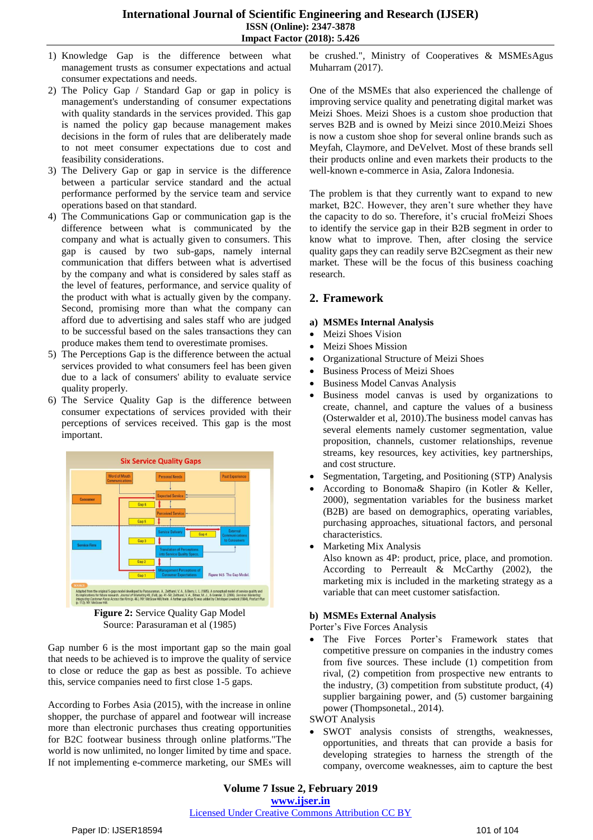- 1) Knowledge Gap is the difference between what management trusts as consumer expectations and actual consumer expectations and needs.
- 2) The Policy Gap / Standard Gap or gap in policy is management's understanding of consumer expectations with quality standards in the services provided. This gap is named the policy gap because management makes decisions in the form of rules that are deliberately made to not meet consumer expectations due to cost and feasibility considerations.
- 3) The Delivery Gap or gap in service is the difference between a particular service standard and the actual performance performed by the service team and service operations based on that standard.
- 4) The Communications Gap or communication gap is the difference between what is communicated by the company and what is actually given to consumers. This gap is caused by two sub-gaps, namely internal communication that differs between what is advertised by the company and what is considered by sales staff as the level of features, performance, and service quality of the product with what is actually given by the company. Second, promising more than what the company can afford due to advertising and sales staff who are judged to be successful based on the sales transactions they can produce makes them tend to overestimate promises.
- 5) The Perceptions Gap is the difference between the actual services provided to what consumers feel has been given due to a lack of consumers' ability to evaluate service quality properly.
- 6) The Service Quality Gap is the difference between consumer expectations of services provided with their perceptions of services received. This gap is the most important.



**Figure 2:** Service Quality Gap Model Source: Parasuraman et al (1985)

Gap number 6 is the most important gap so the main goal that needs to be achieved is to improve the quality of service to close or reduce the gap as best as possible. To achieve this, service companies need to first close 1-5 gaps.

According to Forbes Asia (2015), with the increase in online shopper, the purchase of apparel and footwear will increase more than electronic purchases thus creating opportunities for B2C footwear business through online platforms."The world is now unlimited, no longer limited by time and space. If not implementing e-commerce marketing, our SMEs will be crushed.", Ministry of Cooperatives & MSMEsAgus Muharram (2017).

One of the MSMEs that also experienced the challenge of improving service quality and penetrating digital market was Meizi Shoes. Meizi Shoes is a custom shoe production that serves B2B and is owned by Meizi since 2010.Meizi Shoes is now a custom shoe shop for several online brands such as Meyfah, Claymore, and DeVelvet. Most of these brands sell their products online and even markets their products to the well-known e-commerce in Asia, Zalora Indonesia.

The problem is that they currently want to expand to new market, B2C. However, they aren't sure whether they have the capacity to do so. Therefore, it's crucial froMeizi Shoes to identify the service gap in their B2B segment in order to know what to improve. Then, after closing the service quality gaps they can readily serve B2Csegment as their new market. These will be the focus of this business coaching research.

# **2. Framework**

#### **a) MSMEs Internal Analysis**

- Meizi Shoes Vision
- Meizi Shoes Mission
- Organizational Structure of Meizi Shoes
- Business Process of Meizi Shoes
- Business Model Canvas Analysis
- Business model canvas is used by organizations to create, channel, and capture the values of a business (Osterwalder et al, 2010).The business model canvas has several elements namely customer segmentation, value proposition, channels, customer relationships, revenue streams, key resources, key activities, key partnerships, and cost structure.
- Segmentation, Targeting, and Positioning (STP) Analysis
- According to Bonoma& Shapiro (in Kotler & Keller, 2000), segmentation variables for the business market (B2B) are based on demographics, operating variables, purchasing approaches, situational factors, and personal characteristics.
- Marketing Mix Analysis
	- Also known as 4P: product, price, place, and promotion. According to Perreault & McCarthy (2002), the marketing mix is included in the marketing strategy as a variable that can meet customer satisfaction.

## **b) MSMEs External Analysis**

Porter's Five Forces Analysis

 The Five Forces Porter's Framework states that competitive pressure on companies in the industry comes from five sources. These include (1) competition from rival, (2) competition from prospective new entrants to the industry, (3) competition from substitute product, (4) supplier bargaining power, and (5) customer bargaining power (Thompsonetal., 2014).

SWOT Analysis

 SWOT analysis consists of strengths, weaknesses, opportunities, and threats that can provide a basis for developing strategies to harness the strength of the company, overcome weaknesses, aim to capture the best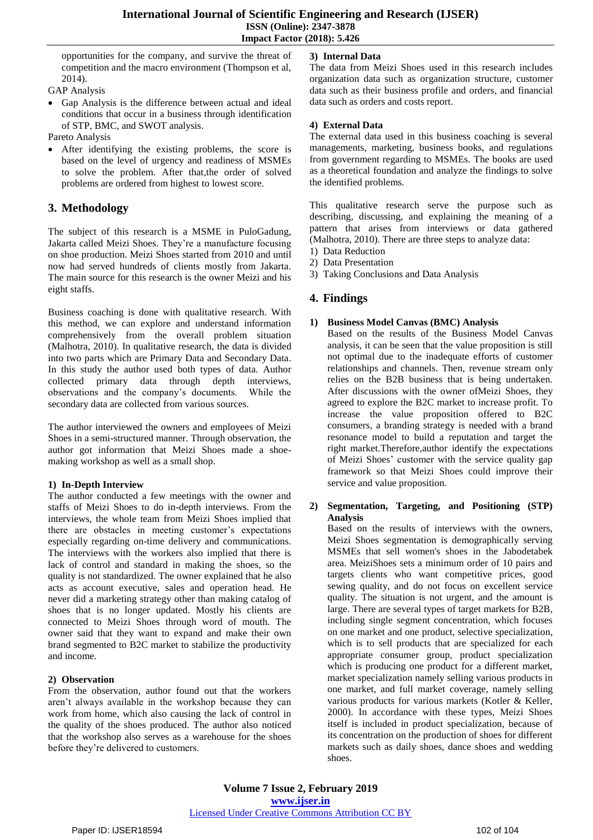opportunities for the company, and survive the threat of competition and the macro environment (Thompson et al, 2014).

GAP Analysis

- Gap Analysis is the difference between actual and ideal conditions that occur in a business through identification of STP, BMC, and SWOT analysis.
- Pareto Analysis
- After identifying the existing problems, the score is based on the level of urgency and readiness of MSMEs to solve the problem. After that,the order of solved problems are ordered from highest to lowest score.

# **3. Methodology**

The subject of this research is a MSME in PuloGadung, Jakarta called Meizi Shoes. They're a manufacture focusing on shoe production. Meizi Shoes started from 2010 and until now had served hundreds of clients mostly from Jakarta. The main source for this research is the owner Meizi and his eight staffs.

Business coaching is done with qualitative research. With this method, we can explore and understand information comprehensively from the overall problem situation (Malhotra, 2010). In qualitative research, the data is divided into two parts which are Primary Data and Secondary Data. In this study the author used both types of data. Author collected primary data through depth interviews, observations and the company's documents. While the secondary data are collected from various sources.

The author interviewed the owners and employees of Meizi Shoes in a semi-structured manner. Through observation, the author got information that Meizi Shoes made a shoemaking workshop as well as a small shop.

## **1) In-Depth Interview**

The author conducted a few meetings with the owner and staffs of Meizi Shoes to do in-depth interviews. From the interviews, the whole team from Meizi Shoes implied that there are obstacles in meeting customer's expectations especially regarding on-time delivery and communications. The interviews with the workers also implied that there is lack of control and standard in making the shoes, so the quality is not standardized. The owner explained that he also acts as account executive, sales and operation head. He never did a marketing strategy other than making catalog of shoes that is no longer updated. Mostly his clients are connected to Meizi Shoes through word of mouth. The owner said that they want to expand and make their own brand segmented to B2C market to stabilize the productivity and income.

## **2) Observation**

From the observation, author found out that the workers aren't always available in the workshop because they can work from home, which also causing the lack of control in the quality of the shoes produced. The author also noticed that the workshop also serves as a warehouse for the shoes before they're delivered to customers.

# **3) Internal Data**

The data from Meizi Shoes used in this research includes organization data such as organization structure, customer data such as their business profile and orders, and financial data such as orders and costs report.

# **4) External Data**

The external data used in this business coaching is several managements, marketing, business books, and regulations from government regarding to MSMEs. The books are used as a theoretical foundation and analyze the findings to solve the identified problems.

This qualitative research serve the purpose such as describing, discussing, and explaining the meaning of a pattern that arises from interviews or data gathered (Malhotra, 2010). There are three steps to analyze data:

- 1) Data Reduction
- 2) Data Presentation
- 3) Taking Conclusions and Data Analysis

# **4. Findings**

# **1) Business Model Canvas (BMC) Analysis**

Based on the results of the Business Model Canvas analysis, it can be seen that the value proposition is still not optimal due to the inadequate efforts of customer relationships and channels. Then, revenue stream only relies on the B2B business that is being undertaken. After discussions with the owner ofMeizi Shoes, they agreed to explore the B2C market to increase profit. To increase the value proposition offered to B2C consumers, a branding strategy is needed with a brand resonance model to build a reputation and target the right market.Therefore,author identify the expectations of Meizi Shoes' customer with the service quality gap framework so that Meizi Shoes could improve their service and value proposition.

#### **2) Segmentation, Targeting, and Positioning (STP) Analysis**

Based on the results of interviews with the owners, Meizi Shoes segmentation is demographically serving MSMEs that sell women's shoes in the Jabodetabek area. MeiziShoes sets a minimum order of 10 pairs and targets clients who want competitive prices, good sewing quality, and do not focus on excellent service quality. The situation is not urgent, and the amount is large. There are several types of target markets for B2B, including single segment concentration, which focuses on one market and one product, selective specialization, which is to sell products that are specialized for each appropriate consumer group, product specialization which is producing one product for a different market, market specialization namely selling various products in one market, and full market coverage, namely selling various products for various markets (Kotler & Keller, 2000). In accordance with these types, Meizi Shoes itself is included in product specialization, because of its concentration on the production of shoes for different markets such as daily shoes, dance shoes and wedding shoes.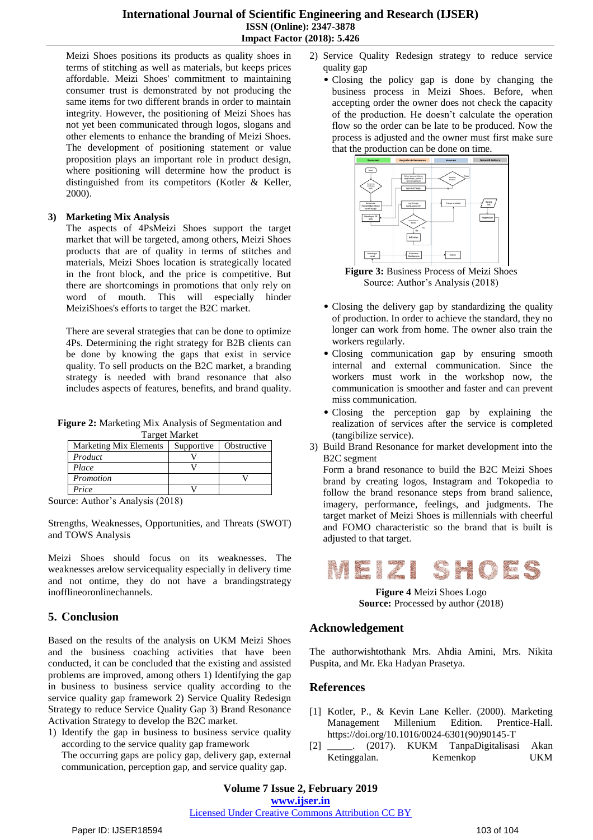#### **International Journal of Scientific Engineering and Research (IJSER) ISSN (Online): 2347-3878 Impact Factor (2018): 5.426**

Meizi Shoes positions its products as quality shoes in terms of stitching as well as materials, but keeps prices affordable. Meizi Shoes' commitment to maintaining consumer trust is demonstrated by not producing the same items for two different brands in order to maintain integrity. However, the positioning of Meizi Shoes has not yet been communicated through logos, slogans and other elements to enhance the branding of Meizi Shoes. The development of positioning statement or value proposition plays an important role in product design, where positioning will determine how the product is distinguished from its competitors (Kotler & Keller, 2000).

## **3) Marketing Mix Analysis**

The aspects of 4PsMeizi Shoes support the target market that will be targeted, among others, Meizi Shoes products that are of quality in terms of stitches and materials, Meizi Shoes location is strategically located in the front block, and the price is competitive. But there are shortcomings in promotions that only rely on word of mouth. This will especially hinder MeiziShoes's efforts to target the B2C market.

There are several strategies that can be done to optimize 4Ps. Determining the right strategy for B2B clients can be done by knowing the gaps that exist in service quality. To sell products on the B2C market, a branding strategy is needed with brand resonance that also includes aspects of features, benefits, and brand quality.

**Figure 2:** Marketing Mix Analysis of Segmentation and Target Market

| <b>Marketing Mix Elements</b> | Supportive | Obstructive |
|-------------------------------|------------|-------------|
| Product                       |            |             |
| Place                         |            |             |
| Promotion                     |            |             |
| Price                         |            |             |

Source: Author's Analysis (2018)

Strengths, Weaknesses, Opportunities, and Threats (SWOT) and TOWS Analysis

Meizi Shoes should focus on its weaknesses. The weaknesses arelow servicequality especially in delivery time and not ontime, they do not have a brandingstrategy inofflineoronlinechannels.

# **5. Conclusion**

Based on the results of the analysis on UKM Meizi Shoes and the business coaching activities that have been conducted, it can be concluded that the existing and assisted problems are improved, among others 1) Identifying the gap in business to business service quality according to the service quality gap framework 2) Service Quality Redesign Strategy to reduce Service Quality Gap 3) Brand Resonance Activation Strategy to develop the B2C market.

1) Identify the gap in business to business service quality according to the service quality gap framework

The occurring gaps are policy gap, delivery gap, external communication, perception gap, and service quality gap.

- 2) Service Quality Redesign strategy to reduce service quality gap
	- Closing the policy gap is done by changing the business process in Meizi Shoes. Before, when accepting order the owner does not check the capacity of the production. He doesn't calculate the operation flow so the order can be late to be produced. Now the process is adjusted and the owner must first make sure that the production can be done on time.



**Figure 3:** Business Process of Meizi Shoes Source: Author's Analysis (2018)

- Closing the delivery gap by standardizing the quality of production. In order to achieve the standard, they no longer can work from home. The owner also train the workers regularly.
- Closing communication gap by ensuring smooth internal and external communication. Since the workers must work in the workshop now, the communication is smoother and faster and can prevent miss communication.
- Closing the perception gap by explaining the realization of services after the service is completed (tangibilize service).
- 3) Build Brand Resonance for market development into the B2C segment

Form a brand resonance to build the B2C Meizi Shoes brand by creating logos, Instagram and Tokopedia to follow the brand resonance steps from brand salience, imagery, performance, feelings, and judgments. The target market of Meizi Shoes is millennials with cheerful and FOMO characteristic so the brand that is built is adjusted to that target.



**Figure 4** Meizi Shoes Logo **Source:** Processed by author (2018)

# **Acknowledgement**

The authorwishtothank Mrs. Ahdia Amini, Mrs. Nikita Puspita, and Mr. Eka Hadyan Prasetya.

# **References**

- [1] Kotler, P., & Kevin Lane Keller. (2000). Marketing Millenium Edition. Prentice-Hall. [https://doi.org/10.1016/0024-6301\(90\)90145-T](https://doi.org/10.1016/0024-6301(90)90145-T)
- [2] \_\_\_\_\_. (2017). KUKM TanpaDigitalisasi Akan Ketinggalan. Kemenkop UKM